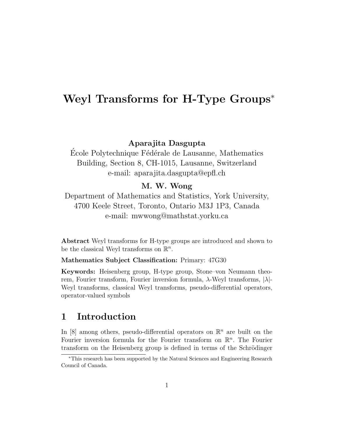# Weyl Transforms for H-Type Groups<sup>∗</sup>

Aparajita Dasgupta

École Polytechnique Fédérale de Lausanne, Mathematics Building, Section 8, CH-1015, Lausanne, Switzerland e-mail: aparajita.dasgupta@epfl.ch

#### M. W. Wong

Department of Mathematics and Statistics, York University, 4700 Keele Street, Toronto, Ontario M3J 1P3, Canada e-mail: mwwong@mathstat.yorku.ca

Abstract Weyl transforms for H-type groups are introduced and shown to be the classical Weyl transforms on  $\mathbb{R}^n$ .

Mathematics Subject Classification: Primary: 47G30

Keywords: Heisenberg group, H-type group, Stone–von Neumann theorem, Fourier transform, Fourier inversion formula,  $\lambda$ -Weyl transforms,  $|\lambda|$ -Weyl transforms, classical Weyl transforms, pseudo-differential operators, operator-valued symbols

### 1 Introduction

In [8] among others, pseudo-differential operators on  $\mathbb{R}^n$  are built on the Fourier inversion formula for the Fourier transform on  $\mathbb{R}^n$ . The Fourier transform on the Heisenberg group is defined in terms of the Schrödinger

<sup>∗</sup>This research has been supported by the Natural Sciences and Engineering Research Council of Canada.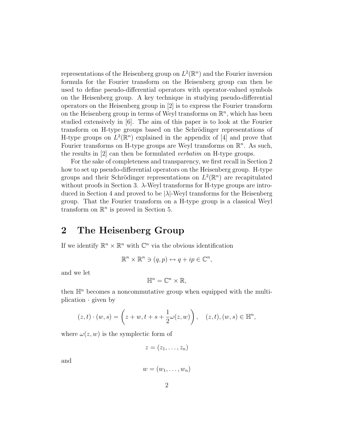representations of the Heisenberg group on  $L^2(\mathbb{R}^n)$  and the Fourier inversion formula for the Fourier transform on the Heisenberg group can then be used to define pseudo-differential operators with operator-valued symbols on the Heisenberg group. A key technique in studying pseudo-differential operators on the Heisenberg group in [2] is to express the Fourier transform on the Heisenberg group in terms of Weyl transforms on  $\mathbb{R}^n$ , which has been studied extensively in [6]. The aim of this paper is to look at the Fourier transform on H-type groups based on the Schrödinger representations of H-type groups on  $L^2(\mathbb{R}^n)$  explained in the appendix of [4] and prove that Fourier transforms on H-type groups are Weyl transforms on  $\mathbb{R}^n$ . As such, the results in [2] can then be formulated verbatim on H-type groups.

For the sake of completeness and transparency, we first recall in Section 2 how to set up pseudo-differential operators on the Heisenberg group. H-type groups and their Schrödinger representations on  $L^2(\mathbb{R}^n)$  are recapitulated without proofs in Section 3.  $\lambda$ -Weyl transforms for H-type groups are introduced in Section 4 and proved to be  $|\lambda|$ -Weyl transforms for the Heisenberg group. That the Fourier transform on a H-type group is a classical Weyl transform on  $\mathbb{R}^n$  is proved in Section 5.

#### 2 The Heisenberg Group

If we identify  $\mathbb{R}^n \times \mathbb{R}^n$  with  $\mathbb{C}^n$  via the obvious identification

$$
\mathbb{R}^n \times \mathbb{R}^n \ni (q, p) \leftrightarrow q + ip \in \mathbb{C}^n,
$$

and we let

$$
\mathbb{H}^n=\mathbb{C}^n\times\mathbb{R},
$$

then  $\mathbb{H}^n$  becomes a noncommutative group when equipped with the multiplication  $\cdot$  given by

$$
(z,t) \cdot (w,s) = (z+w, t+s+\frac{1}{2}\omega(z,w)), (z,t), (w,s) \in \mathbb{H}^n
$$

where  $\omega(z, w)$  is the symplectic form of

$$
z=(z_1,\ldots,z_n)
$$

and

$$
w=(w_1,\ldots,w_n)
$$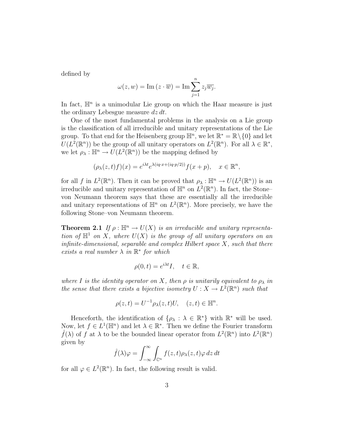defined by

$$
\omega(z, w) = \operatorname{Im}\left(z \cdot \overline{w}\right) = \operatorname{Im} \sum_{j=1}^{n} z_j \overline{w_j}.
$$

In fact,  $\mathbb{H}^n$  is a unimodular Lie group on which the Haar measure is just the ordinary Lebesgue measure  $dz \, dt$ .

One of the most fundamental problems in the analysis on a Lie group is the classification of all irreducible and unitary representations of the Lie group. To that end for the Heisenberg group  $\mathbb{H}^n$ , we let  $\mathbb{R}^* = \mathbb{R} \setminus \{0\}$  and let  $U(L^2(\mathbb{R}^n))$  be the group of all unitary operators on  $L^2(\mathbb{R}^n)$ . For all  $\lambda \in \mathbb{R}^*$ , we let  $\rho_{\lambda}: \mathbb{H}^n \to U(L^2(\mathbb{R}^n))$  be the mapping defined by

$$
(\rho_{\lambda}(z,t)f)(x) = e^{i\lambda t} e^{\lambda(iq \cdot x + (iq \cdot p/2))} f(x+p), \quad x \in \mathbb{R}^n,
$$

for all f in  $L^2(\mathbb{R}^n)$ . Then it can be proved that  $\rho_\lambda : \mathbb{H}^n \to U(L^2(\mathbb{R}^n))$  is an irreducible and unitary representation of  $\mathbb{H}^n$  on  $L^2(\mathbb{R}^n)$ . In fact, the Stonevon Neumann theorem says that these are essentially all the irreducible and unitary representations of  $\mathbb{H}^n$  on  $L^2(\mathbb{R}^n)$ . More precisely, we have the following Stone–von Neumann theorem.

**Theorem 2.1** If  $\rho : \mathbb{H}^n \to U(X)$  is an irreducible and unitary representation of  $\mathbb{H}^1$  on X, where  $U(X)$  is the group of all unitary operators on an infinite-dimensional, separable and complex Hilbert space  $X$ , such that there exists a real number  $\lambda$  in  $\mathbb{R}^*$  for which

$$
\rho(0,t) = e^{i\lambda t}I, \quad t \in \mathbb{R},
$$

where I is the identity operator on X, then  $\rho$  is unitarily equivalent to  $\rho_{\lambda}$  in the sense that there exists a bijective isometry  $U: X \to L^2(\mathbb{R}^n)$  such that

$$
\rho(z,t) = U^{-1} \rho_\lambda(z,t) U, \quad (z,t) \in \mathbb{H}^n.
$$

Henceforth, the identification of  $\{\rho_{\lambda} : \lambda \in \mathbb{R}^*\}$  with  $\mathbb{R}^*$  will be used. Now, let  $f \in L^1(\mathbb{H}^n)$  and let  $\lambda \in \mathbb{R}^*$ . Then we define the Fourier transform  $\widehat{f}(\lambda)$  of f at  $\lambda$  to be the bounded linear operator from  $L^2(\mathbb{R}^n)$  into  $L^2(\mathbb{R}^n)$ given by

$$
\hat{f}(\lambda)\varphi = \int_{-\infty}^{\infty} \int_{\mathbb{C}^n} f(z,t)\rho_{\lambda}(z,t)\varphi \,dz \,dt
$$

for all  $\varphi \in L^2(\mathbb{R}^n)$ . In fact, the following result is valid.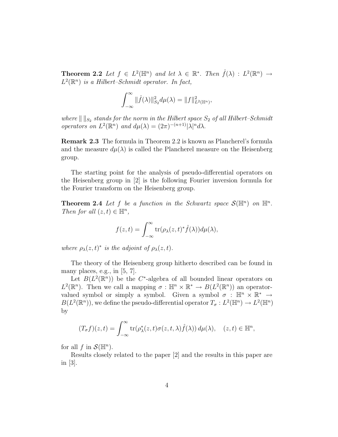**Theorem 2.2** Let  $f \in L^2(\mathbb{H}^n)$  and let  $\lambda \in \mathbb{R}^*$ . Then  $\hat{f}(\lambda) : L^2(\mathbb{R}^n) \to$  $L^2(\mathbb{R}^n)$  is a Hilbert–Schmidt operator. In fact,

$$
\int_{-\infty}^{\infty} ||\hat{f}(\lambda)||_{S_2}^2 d\mu(\lambda) = ||f||_{L^2(\mathbb{H}^n)}^2,
$$

where  $\|\ \|_{S_2}$  stands for the norm in the Hilbert space  $S_2$  of all Hilbert–Schmidt operators on  $L^2(\mathbb{R}^n)$  and  $d\mu(\lambda) = (2\pi)^{-(n+1)}|\lambda|^n d\lambda$ .

Remark 2.3 The formula in Theorem 2.2 is known as Plancherel's formula and the measure  $d\mu(\lambda)$  is called the Plancherel measure on the Heisenberg group.

The starting point for the analysis of pseudo-differential operators on the Heisenberg group in [2] is the following Fourier inversion formula for the Fourier transform on the Heisenberg group.

**Theorem 2.4** Let f be a function in the Schwartz space  $\mathcal{S}(\mathbb{H}^n)$  on  $\mathbb{H}^n$ . Then for all  $(z, t) \in \mathbb{H}^n$ ,

$$
f(z,t) = \int_{-\infty}^{\infty} \text{tr}(\rho_{\lambda}(z,t)^{*} \hat{f}(\lambda)) d\mu(\lambda),
$$

where  $\rho_{\lambda}(z,t)^{*}$  is the adjoint of  $\rho_{\lambda}(z,t)$ .

The theory of the Heisenberg group hitherto described can be found in many places, e.g., in [5, 7].

Let  $B(L^2(\mathbb{R}^n))$  be the C<sup>\*</sup>-algebra of all bounded linear operators on  $L^2(\mathbb{R}^n)$ . Then we call a mapping  $\sigma : \mathbb{H}^n \times \mathbb{R}^* \to B(L^2(\mathbb{R}^n))$  an operatorvalued symbol or simply a symbol. Given a symbol  $\sigma : \mathbb{H}^n \times \mathbb{R}^* \to$  $B(L^2(\mathbb{R}^n))$ , we define the pseudo-differential operator  $T_\sigma: L^2(\mathbb{H}^n) \to L^2(\mathbb{H}^n)$ by

$$
(T_{\sigma}f)(z,t) = \int_{-\infty}^{\infty} \operatorname{tr}(\rho_{\lambda}^*(z,t)\sigma(z,t,\lambda)\hat{f}(\lambda)) d\mu(\lambda), \quad (z,t) \in \mathbb{H}^n,
$$

for all  $f$  in  $\mathcal{S}(\mathbb{H}^n)$ .

Results closely related to the paper [2] and the results in this paper are in [3].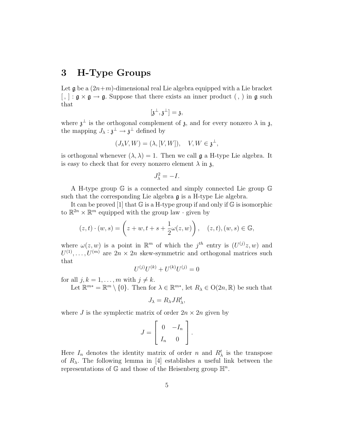### 3 H-Type Groups

Let  $\mathfrak g$  be a  $(2n+m)$ -dimensional real Lie algebra equipped with a Lie bracket  $[ , ] : \mathfrak{g} \times \mathfrak{g} \to \mathfrak{g}$ . Suppose that there exists an inner product  $( , )$  in  $\mathfrak{g}$  such that

$$
[\mathfrak{z}^{\perp},\mathfrak{z}^{\perp}]=\mathfrak{z},
$$

where  $\mathfrak{z}^{\perp}$  is the orthogonal complement of  $\mathfrak{z}$ , and for every nonzero  $\lambda$  in  $\mathfrak{z}$ , the mapping  $J_{\lambda}: \mathfrak{z}^{\perp} \to \mathfrak{z}^{\perp}$  defined by

$$
(J_{\lambda}V, W) = (\lambda, [V, W]), \quad V, W \in \mathfrak{z}^{\perp},
$$

is orthogonal whenever  $(\lambda, \lambda) = 1$ . Then we call g a H-type Lie algebra. It is easy to check that for every nonzero element  $\lambda$  in  $\lambda$ ,

$$
J_{\lambda}^2=-I.
$$

A H-type group G is a connected and simply connected Lie group G such that the corresponding Lie algebra  $\mathfrak g$  is a H-type Lie algebra.

It can be proved [1] that  $\mathbb G$  is a H-type group if and only if  $\mathbb G$  is isomorphic to  $\mathbb{R}^{2n} \times \mathbb{R}^m$  equipped with the group law  $\cdot$  given by

$$
(z,t)\cdot(w,s) = \left(z+w, t+s+\frac{1}{2}\omega(z,w)\right), \quad (z,t),(w,s)\in\mathbb{G},
$$

where  $\omega(z, w)$  is a point in  $\mathbb{R}^m$  of which the j<sup>th</sup> entry is  $(U^{(j)}z, w)$  and  $U^{(1)}, \ldots, U^{(m)}$  are  $2n \times 2n$  skew-symmetric and orthogonal matrices such that

$$
U^{(j)}U^{(k)} + U^{(k)}U^{(j)} = 0
$$

for all  $j, k = 1, \ldots, m$  with  $j \neq k$ .

Let  $\mathbb{R}^{m*} = \mathbb{R}^m \setminus \{0\}$ . Then for  $\lambda \in \mathbb{R}^{m*}$ , let  $R_{\lambda} \in O(2n, \mathbb{R})$  be such that

$$
J_{\lambda} = R_{\lambda} J R_{\lambda}^{t},
$$

where J is the symplectic matrix of order  $2n \times 2n$  given by

$$
J = \left[ \begin{array}{cc} 0 & -I_n \\ I_n & 0 \end{array} \right].
$$

Here  $I_n$  denotes the identity matrix of order n and  $R_\lambda^t$  is the transpose of  $R_{\lambda}$ . The following lemma in [4] establishes a useful link between the representations of  $\mathbb{G}$  and those of the Heisenberg group  $\mathbb{H}^n$ .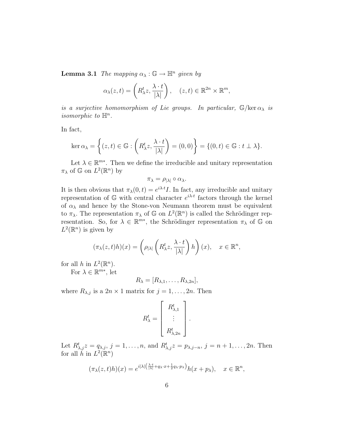**Lemma 3.1** The mapping  $\alpha_{\lambda} : \mathbb{G} \to \mathbb{H}^n$  given by

$$
\alpha_{\lambda}(z,t) = \left(R_{\lambda}^{t}z, \frac{\lambda \cdot t}{|\lambda|}\right), \quad (z,t) \in \mathbb{R}^{2n} \times \mathbb{R}^{m},
$$

is a surjective homomorphism of Lie groups. In particular,  $\mathbb{G}/\text{ker }\alpha_{\lambda}$  is isomorphic to  $\mathbb{H}^n$ .

In fact,

$$
\ker \alpha_{\lambda} = \left\{ (z, t) \in \mathbb{G} : \left( R_{\lambda}^{t} z, \frac{\lambda \cdot t}{|\lambda|} \right) = (0, 0) \right\} = \left\{ (0, t) \in \mathbb{G} : t \perp \lambda \right\}.
$$

Let  $\lambda \in \mathbb{R}^{m*}$ . Then we define the irreducible and unitary representation  $\pi_{\lambda}$  of  $\mathbb{G}$  on  $L^2(\mathbb{R}^n)$  by

$$
\pi_{\lambda} = \rho_{|\lambda|} \circ \alpha_{\lambda}.
$$

It is then obvious that  $\pi_{\lambda}(0,t) = e^{i\lambda \cdot t} I$ . In fact, any irreducible and unitary representation of  $\mathbb{G}$  with central character  $e^{i\lambda t}$  factors through the kernel of  $\alpha_{\lambda}$  and hence by the Stone-von Neumann theorem must be equivalent to  $\pi_{\lambda}$ . The representation  $\pi_{\lambda}$  of G on  $L^2(\mathbb{R}^n)$  is called the Schrödinger representation. So, for  $\lambda \in \mathbb{R}^{m*}$ , the Schrödinger representation  $\pi_{\lambda}$  of  $\mathbb{G}$  on  $L^2(\mathbb{R}^n)$  is given by

$$
(\pi_{\lambda}(z,t)h)(x) = \left(\rho_{|\lambda|}\left(R_{\lambda}^t z, \frac{\lambda \cdot t}{|\lambda|}\right)h\right)(x), \quad x \in \mathbb{R}^n,
$$

for all h in  $L^2(\mathbb{R}^n)$ .

For  $\lambda \in \mathbb{R}^{m*}$ , let

$$
R_{\lambda} = [R_{\lambda,1},\ldots,R_{\lambda,2n}],
$$

where  $R_{\lambda,j}$  is a  $2n \times 1$  matrix for  $j = 1, \ldots, 2n$ . Then

$$
R_{\lambda}^{t} = \left[ \begin{array}{c} R_{\lambda,1}^{t} \\ \vdots \\ R_{\lambda,2n}^{t} \end{array} \right].
$$

Let  $R^t_{\lambda,j}z = q_{\lambda,j}, j = 1,\ldots,n$ , and  $R^t_{\lambda,j}z = p_{\lambda,j-n}, j = n+1,\ldots,2n$ . Then for all  $\tilde{h}$  in  $L^2(\mathbb{R}^n)$ 

$$
(\pi_{\lambda}(z,t)h)(x) = e^{i|\lambda| \left(\frac{\lambda \cdot t}{|\lambda|} + q_{\lambda} \cdot x + \frac{1}{2}q_{\lambda} \cdot p_{\lambda}\right)} h(x+p_{\lambda}), \quad x \in \mathbb{R}^n,
$$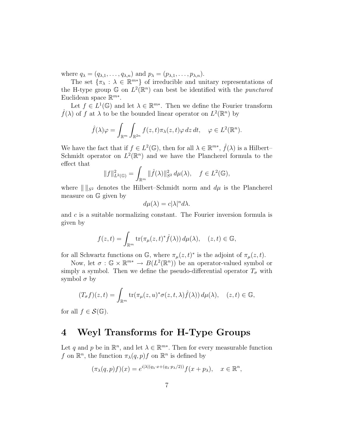where  $q_{\lambda} = (q_{\lambda,1}, \ldots, q_{\lambda,n})$  and  $p_{\lambda} = (p_{\lambda,1}, \ldots, p_{\lambda,n}).$ 

The set  $\{\pi_{\lambda} : \lambda \in \mathbb{R}^{m*}\}\$  of irreducible and unitary representations of the H-type group  $\mathbb{G}$  on  $L^2(\mathbb{R}^n)$  can best be identified with the *punctured* Euclidean space  $\mathbb{R}^{m*}$ .

Let  $f \in L^1(\mathbb{G})$  and let  $\lambda \in \mathbb{R}^{m*}$ . Then we define the Fourier transform  $\hat{f}(\lambda)$  of f at  $\lambda$  to be the bounded linear operator on  $L^2(\mathbb{R}^n)$  by

$$
\hat{f}(\lambda)\varphi = \int_{\mathbb{R}^m} \int_{\mathbb{R}^{2n}} f(z,t)\pi_{\lambda}(z,t)\varphi \,dz \,dt, \quad \varphi \in L^2(\mathbb{R}^n).
$$

We have the fact that if  $f \in L^2(\mathbb{G})$ , then for all  $\lambda \in \mathbb{R}^{m*}$ ,  $\hat{f}(\lambda)$  is a Hilbert-Schmidt operator on  $L^2(\mathbb{R}^n)$  and we have the Plancherel formula to the effect that

$$
||f||_{L^{2}(\mathbb{G})}^{2} = \int_{\mathbb{R}^{m}} ||\hat{f}(\lambda)||_{S^{2}}^{2} d\mu(\lambda), \quad f \in L^{2}(\mathbb{G}),
$$

where  $\| \cdot \|_{S^2}$  denotes the Hilbert–Schmidt norm and  $d\mu$  is the Plancherel measure on G given by

$$
d\mu(\lambda) = c|\lambda|^n d\lambda.
$$

and c is a suitable normalizing constant. The Fourier inversion formula is given by

$$
f(z,t) = \int_{\mathbb{R}^m} \text{tr}(\pi_\mu(z,t)^* \hat{f}(\lambda)) d\mu(\lambda), \quad (z,t) \in \mathbb{G},
$$

for all Schwartz functions on  $\mathbb{G}$ , where  $\pi_{\mu}(z,t)^{*}$  is the adjoint of  $\pi_{\mu}(z,t)$ .

Now, let  $\sigma : \mathbb{G} \times \mathbb{R}^{m*} \to B(L^2(\mathbb{R}^n))$  be an operator-valued symbol or simply a symbol. Then we define the pseudo-differential operator  $T_{\sigma}$  with symbol  $\sigma$  by

$$
(T_{\sigma}f)(z,t) = \int_{\mathbb{R}^m} \text{tr}(\pi_{\mu}(z,u)^* \sigma(z,t,\lambda)\hat{f}(\lambda)) d\mu(\lambda), \quad (z,t) \in \mathbb{G},
$$

for all  $f \in \mathcal{S}(\mathbb{G})$ .

## 4 Weyl Transforms for H-Type Groups

Let q and p be in  $\mathbb{R}^n$ , and let  $\lambda \in \mathbb{R}^{m*}$ . Then for every measurable function f on  $\mathbb{R}^n$ , the function  $\pi_\lambda(q, p)$  f on  $\mathbb{R}^n$  is defined by

$$
(\pi_{\lambda}(q,p)f)(x) = e^{i|\lambda|(q_{\lambda}\cdot x + (q_{\lambda}\cdot p_{\lambda}/2))}f(x+p_{\lambda}), \quad x \in \mathbb{R}^n,
$$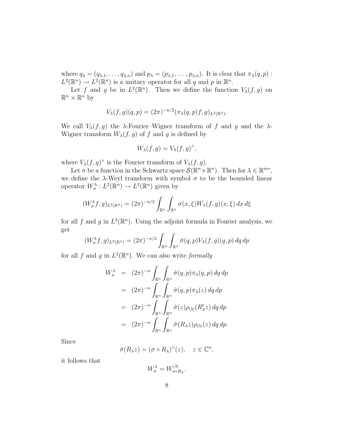where  $q_{\lambda} = (q_{\lambda,1}, \ldots, q_{\lambda,n})$  and  $p_{\lambda} = (p_{\lambda,1}, \ldots, p_{\lambda,n})$ . It is clear that  $\pi_{\lambda}(q, p)$ :  $L^2(\mathbb{R}^n) \to L^2(\mathbb{R}^n)$  is a unitary operator for all q and p in  $\mathbb{R}^n$ .

Let f and g be in  $L^2(\mathbb{R}^n)$ . Then we define the function  $V_\lambda(f,g)$  on  $\mathbb{R}^n \times \mathbb{R}^n$  by

$$
V_{\lambda}(f,g)(q,p) = (2\pi)^{-n/2} (\pi_{\lambda}(q,p)f,g)_{L^{2}(\mathbb{R}^{n})}.
$$

We call  $V_{\lambda}(f,g)$  the  $\lambda$ -Fourier–Wigner transform of f and g and the  $\lambda$ -Wigner transform  $W_{\lambda}(f,g)$  of f and g is defined by

$$
W_{\lambda}(f,g) = V_{\lambda}(f,g)^{\wedge},
$$

where  $V_{\lambda}(f,g)^{\wedge}$  is the Fourier transform of  $V_{\lambda}(f,g)$ .

Let  $\sigma$  be a function in the Schwartz space  $\mathcal{S}(\mathbb{R}^n \times \mathbb{R}^n)$ . Then for  $\lambda \in \mathbb{R}^{m*}$ , we define the  $\lambda$ -Weyl transform with symbol  $\sigma$  to be the bounded linear operator  $W_{\sigma}^{\lambda}: L^2(\mathbb{R}^n) \to L^2(\mathbb{R}^n)$  given by

$$
(W_{\sigma}^{\lambda}f,g)_{L^{2}(\mathbb{R}^{n})} = (2\pi)^{-n/2} \int_{\mathbb{R}^{n}} \int_{\mathbb{R}^{n}} \sigma(x,\xi) W_{\lambda}(f,g)(x,\xi) dx d\xi
$$

for all f and g in  $L^2(\mathbb{R}^n)$ . Using the adjoint formula in Fourier analysis, we get

$$
(W_{\sigma}^{\lambda}f,g)_{L^{2}(\mathbb{R}^{n})} = (2\pi)^{-n/2} \int_{\mathbb{R}^{n}} \int_{\mathbb{R}^{n}} \hat{\sigma}(q,p) V_{\lambda}(f,g)(q,p) dq dp
$$

for all f and g in  $L^2(\mathbb{R}^n)$ . We can also write formally

$$
W_{\sigma}^{\lambda} = (2\pi)^{-n} \int_{\mathbb{R}^n} \int_{\mathbb{R}^n} \hat{\sigma}(q, p) \pi_{\lambda}(q, p) dq dp
$$
  
\n
$$
= (2\pi)^{-n} \int_{\mathbb{R}^n} \int_{\mathbb{R}^n} \hat{\sigma}(q, p) \pi_{\lambda}(z) dq dp
$$
  
\n
$$
= (2\pi)^{-n} \int_{\mathbb{R}^n} \int_{\mathbb{R}^n} \hat{\sigma}(z) \rho_{|\lambda|}(R_{\lambda}^t z) dq dp
$$
  
\n
$$
= (2\pi)^{-n} \int_{\mathbb{R}^n} \int_{\mathbb{R}^n} \hat{\sigma}(R_{\lambda} z) \rho_{|\lambda|}(z) dq dp.
$$

Since

$$
\hat{\sigma}(R_{\lambda}z) = (\sigma \circ R_{\lambda})^{\hat{}}(z), \quad z \in \mathbb{C}^n,
$$

it follows that

$$
W^{\lambda}_{\sigma}=W^{|\lambda|}_{\sigma\circ R_{\lambda}}.
$$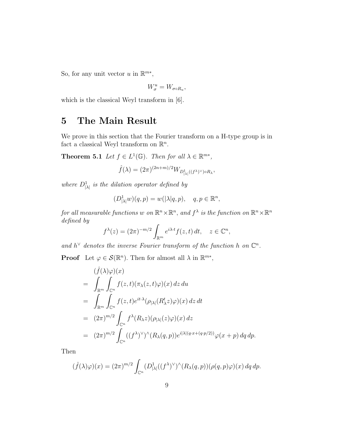So, for any unit vector u in  $\mathbb{R}^{m*}$ ,

$$
W_{\sigma}^{u}=W_{\sigma\circ R_{u}},
$$

which is the classical Weyl transform in [6].

### 5 The Main Result

We prove in this section that the Fourier transform on a H-type group is in fact a classical Weyl transform on  $\mathbb{R}^n$ .

**Theorem 5.1** Let  $f \in L^1(\mathbb{G})$ . Then for all  $\lambda \in \mathbb{R}^{m*}$ ,

$$
\hat{f}(\lambda) = (2\pi)^{(2n+m)/2} W_{D^1_{|\lambda|}((f^{\lambda})^\vee) \circ R_\lambda},
$$

where  $D^1_{|\lambda|}$  is the dilation operator defined by

$$
(D^1_{|\lambda|}w)(q,p) = w(|\lambda|q,p), \quad q, p \in \mathbb{R}^n,
$$

for all measurable functions w on  $\mathbb{R}^n \times \mathbb{R}^n$ , and  $f^{\lambda}$  is the function on  $\mathbb{R}^n \times \mathbb{R}^n$ defined by

$$
f^{\lambda}(z) = (2\pi)^{-m/2} \int_{\mathbb{R}^m} e^{i\lambda \cdot t} f(z, t) dt, \quad z \in \mathbb{C}^n,
$$

and  $h^{\vee}$  denotes the inverse Fourier transform of the function h on  $\mathbb{C}^n$ .

**Proof** Let  $\varphi \in \mathcal{S}(\mathbb{R}^n)$ . Then for almost all  $\lambda$  in  $\mathbb{R}^{m*}$ ,

$$
\begin{split}\n&(\hat{f}(\lambda)\varphi)(x) \\
&= \int_{\mathbb{R}^m} \int_{\mathbb{C}^n} f(z,t)(\pi_{\lambda}(z,t)\varphi)(x) \, dz \, du \\
&= \int_{\mathbb{R}^m} \int_{\mathbb{C}^n} f(z,t)e^{it\cdot\lambda}(\rho_{|\lambda|}(R^t_{\lambda}z)\varphi)(x) \, dz \, dt \\
&= (2\pi)^{m/2} \int_{\mathbb{C}^n} f^{\lambda}(R_{\lambda}z)(\rho_{|\lambda|}(z)\varphi)(x) \, dz \\
&= (2\pi)^{m/2} \int_{\mathbb{C}^n} ((f^{\lambda})^{\vee})^{\wedge}(R_{\lambda}(q,p))e^{i|\lambda|(q \cdot x + (q \cdot p/2))}\varphi(x+p) \, dq \, dp.\n\end{split}
$$

Then

$$
(\hat{f}(\lambda)\varphi)(x) = (2\pi)^{m/2} \int_{\mathbb{C}^n} (D^1_{|\lambda|}((f^{\lambda})^{\vee})^{\wedge} (R_{\lambda}(q, p))(\rho(q, p)\varphi)(x) dq dp.
$$